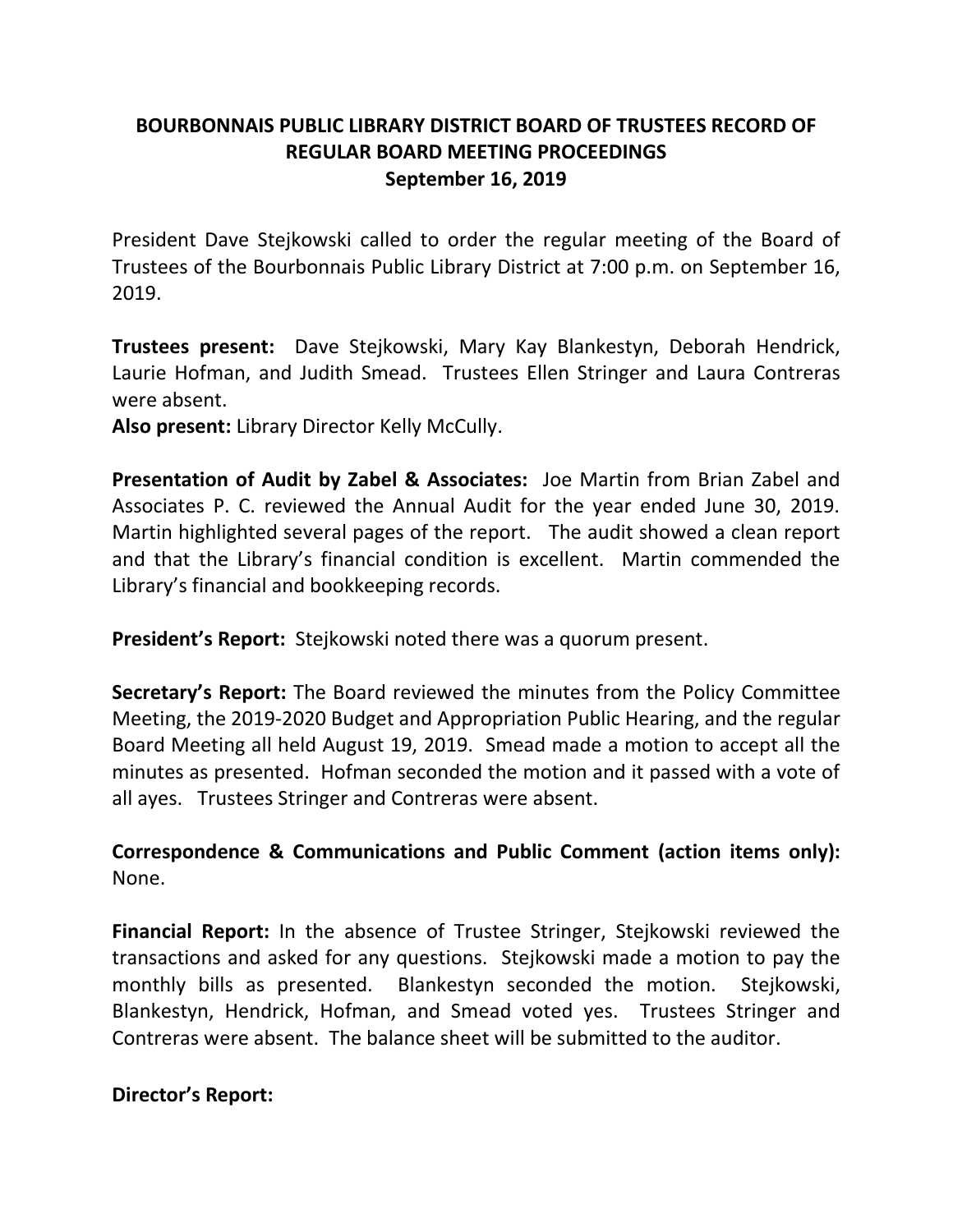## **BOURBONNAIS PUBLIC LIBRARY DISTRICT BOARD OF TRUSTEES RECORD OF REGULAR BOARD MEETING PROCEEDINGS September 16, 2019**

President Dave Stejkowski called to order the regular meeting of the Board of Trustees of the Bourbonnais Public Library District at 7:00 p.m. on September 16, 2019.

**Trustees present:** Dave Stejkowski, Mary Kay Blankestyn, Deborah Hendrick, Laurie Hofman, and Judith Smead. Trustees Ellen Stringer and Laura Contreras were absent.

**Also present:** Library Director Kelly McCully.

**Presentation of Audit by Zabel & Associates:** Joe Martin from Brian Zabel and Associates P. C. reviewed the Annual Audit for the year ended June 30, 2019. Martin highlighted several pages of the report. The audit showed a clean report and that the Library's financial condition is excellent. Martin commended the Library's financial and bookkeeping records.

**President's Report:** Stejkowski noted there was a quorum present.

**Secretary's Report:** The Board reviewed the minutes from the Policy Committee Meeting, the 2019-2020 Budget and Appropriation Public Hearing, and the regular Board Meeting all held August 19, 2019. Smead made a motion to accept all the minutes as presented. Hofman seconded the motion and it passed with a vote of all ayes. Trustees Stringer and Contreras were absent.

**Correspondence & Communications and Public Comment (action items only):**  None.

**Financial Report:** In the absence of Trustee Stringer, Stejkowski reviewed the transactions and asked for any questions. Stejkowski made a motion to pay the monthly bills as presented. Blankestyn seconded the motion. Stejkowski, Blankestyn, Hendrick, Hofman, and Smead voted yes. Trustees Stringer and Contreras were absent. The balance sheet will be submitted to the auditor.

**Director's Report:**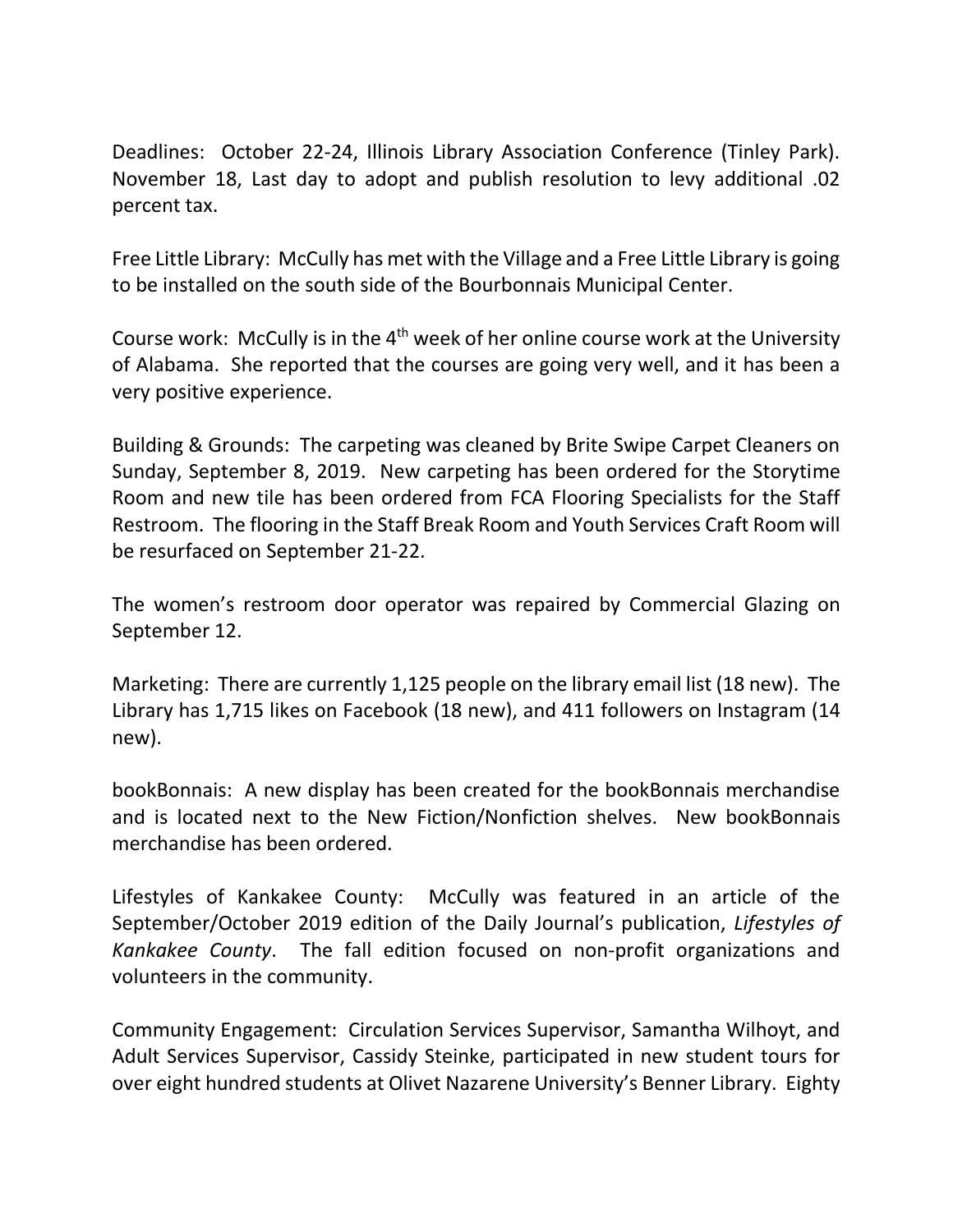Deadlines: October 22-24, Illinois Library Association Conference (Tinley Park). November 18, Last day to adopt and publish resolution to levy additional .02 percent tax.

Free Little Library: McCully has met with the Village and a Free Little Library is going to be installed on the south side of the Bourbonnais Municipal Center.

Course work: McCully is in the 4<sup>th</sup> week of her online course work at the University of Alabama. She reported that the courses are going very well, and it has been a very positive experience.

Building & Grounds: The carpeting was cleaned by Brite Swipe Carpet Cleaners on Sunday, September 8, 2019. New carpeting has been ordered for the Storytime Room and new tile has been ordered from FCA Flooring Specialists for the Staff Restroom. The flooring in the Staff Break Room and Youth Services Craft Room will be resurfaced on September 21-22.

The women's restroom door operator was repaired by Commercial Glazing on September 12.

Marketing: There are currently 1,125 people on the library email list (18 new). The Library has 1,715 likes on Facebook (18 new), and 411 followers on Instagram (14 new).

bookBonnais: A new display has been created for the bookBonnais merchandise and is located next to the New Fiction/Nonfiction shelves. New bookBonnais merchandise has been ordered.

Lifestyles of Kankakee County: McCully was featured in an article of the September/October 2019 edition of the Daily Journal's publication, *Lifestyles of Kankakee County*. The fall edition focused on non-profit organizations and volunteers in the community.

Community Engagement: Circulation Services Supervisor, Samantha Wilhoyt, and Adult Services Supervisor, Cassidy Steinke, participated in new student tours for over eight hundred students at Olivet Nazarene University's Benner Library. Eighty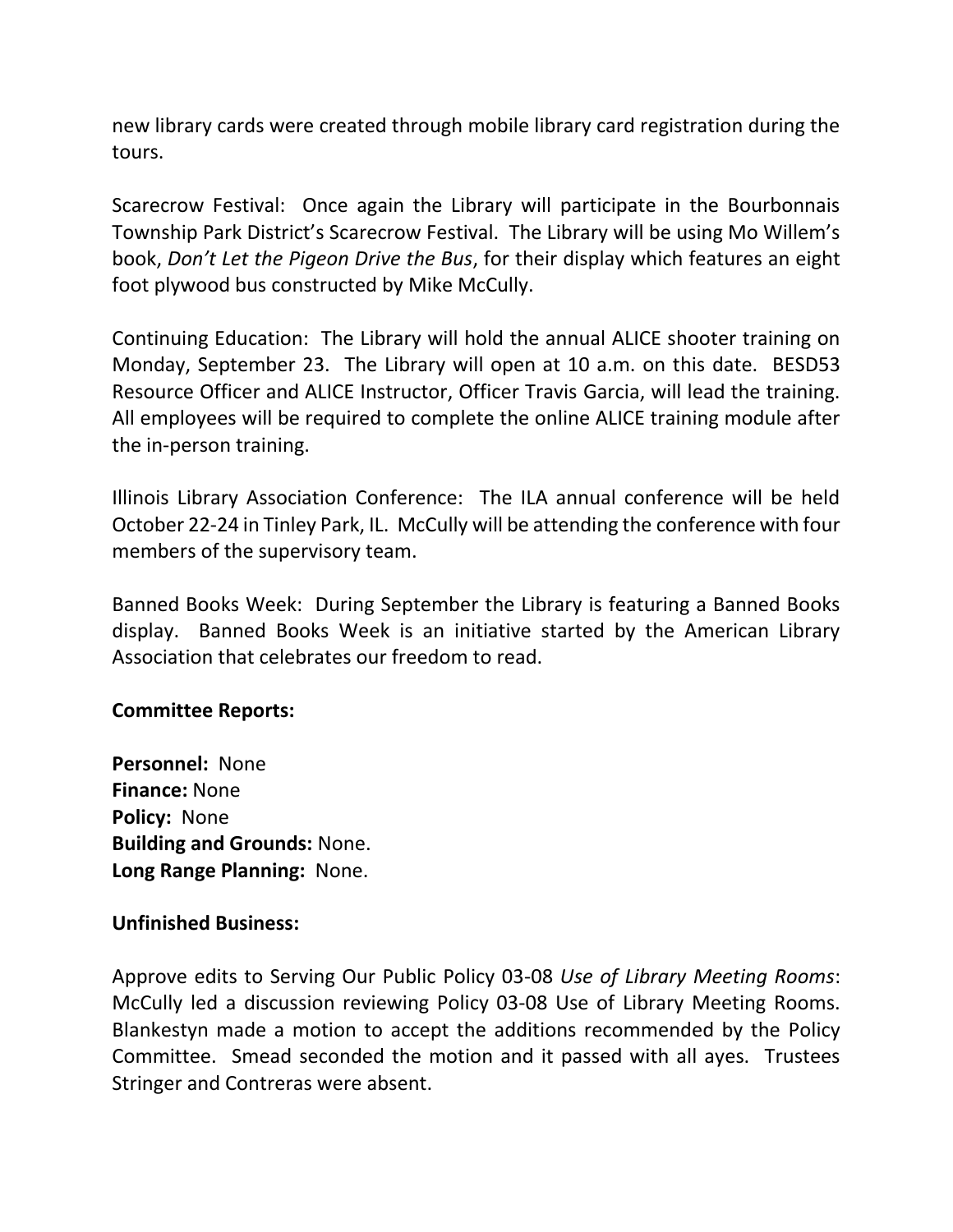new library cards were created through mobile library card registration during the tours.

Scarecrow Festival: Once again the Library will participate in the Bourbonnais Township Park District's Scarecrow Festival. The Library will be using Mo Willem's book, *Don't Let the Pigeon Drive the Bus*, for their display which features an eight foot plywood bus constructed by Mike McCully.

Continuing Education: The Library will hold the annual ALICE shooter training on Monday, September 23. The Library will open at 10 a.m. on this date. BESD53 Resource Officer and ALICE Instructor, Officer Travis Garcia, will lead the training. All employees will be required to complete the online ALICE training module after the in-person training.

Illinois Library Association Conference: The ILA annual conference will be held October 22-24 in Tinley Park, IL. McCully will be attending the conference with four members of the supervisory team.

Banned Books Week: During September the Library is featuring a Banned Books display. Banned Books Week is an initiative started by the American Library Association that celebrates our freedom to read.

## **Committee Reports:**

**Personnel:** None **Finance:** None **Policy:** None **Building and Grounds:** None. **Long Range Planning:** None.

## **Unfinished Business:**

Approve edits to Serving Our Public Policy 03-08 *Use of Library Meeting Rooms*: McCully led a discussion reviewing Policy 03-08 Use of Library Meeting Rooms. Blankestyn made a motion to accept the additions recommended by the Policy Committee. Smead seconded the motion and it passed with all ayes. Trustees Stringer and Contreras were absent.